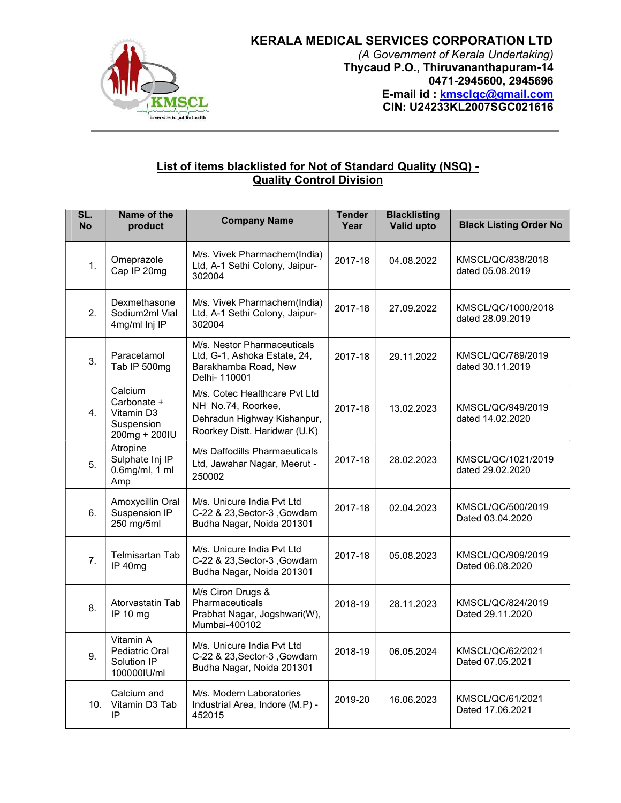

## KERALA MEDICAL SERVICES CORPORATION LTD

(A Government of Kerala Undertaking) Thycaud P.O., Thiruvananthapuram-14 0471-2945600, 2945696 E-mail id : kmsclqc@gmail.com CIN: U24233KL2007SGC021616

## List of items blacklisted for Not of Standard Quality (NSQ) -<br>Quality Control Division

| SL.<br><b>No</b> | Name of the<br>product                                              | <b>Company Name</b>                                                                                                 | <b>Tender</b><br>Year | <b>Blacklisting</b><br>Valid upto | <b>Black Listing Order No</b>          |  |
|------------------|---------------------------------------------------------------------|---------------------------------------------------------------------------------------------------------------------|-----------------------|-----------------------------------|----------------------------------------|--|
| 1.               | Omeprazole<br>Cap IP 20mg                                           | M/s. Vivek Pharmachem(India)<br>Ltd, A-1 Sethi Colony, Jaipur-<br>302004                                            | 2017-18               | 04.08.2022                        | KMSCL/QC/838/2018<br>dated 05.08.2019  |  |
| 2.               | Dexmethasone<br>Sodium2ml Vial<br>4mg/ml Inj IP                     | M/s. Vivek Pharmachem(India)<br>Ltd, A-1 Sethi Colony, Jaipur-<br>302004                                            | 2017-18               | 27.09.2022                        | KMSCL/QC/1000/2018<br>dated 28.09.2019 |  |
| 3.               | Paracetamol<br>Tab IP 500mg                                         | M/s. Nestor Pharmaceuticals<br>Ltd, G-1, Ashoka Estate, 24,<br>Barakhamba Road, New<br>Delhi- 110001                | 2017-18               | 29.11.2022                        | KMSCL/QC/789/2019<br>dated 30.11.2019  |  |
| $\mathbf{4}$ .   | Calcium<br>Carbonate +<br>Vitamin D3<br>Suspension<br>200mg + 200IU | M/s. Cotec Healthcare Pvt Ltd<br>NH No.74, Roorkee,<br>Dehradun Highway Kishanpur,<br>Roorkey Distt. Haridwar (U.K) | 2017-18               | 13.02.2023                        | KMSCL/QC/949/2019<br>dated 14.02.2020  |  |
| 5.               | Atropine<br>Sulphate Inj IP<br>$0.6$ mg/ml, 1 ml<br>Amp             | M/s Daffodills Pharmaeuticals<br>Ltd, Jawahar Nagar, Meerut -<br>250002                                             | 2017-18               | 28.02.2023                        | KMSCL/QC/1021/2019<br>dated 29.02.2020 |  |
| 6.               | Amoxycillin Oral<br>Suspension IP<br>250 mg/5ml                     | M/s. Unicure India Pvt Ltd<br>C-22 & 23, Sector-3, Gowdam<br>Budha Nagar, Noida 201301                              | 2017-18               | 02.04.2023                        | KMSCL/QC/500/2019<br>Dated 03.04.2020  |  |
| 7.               | Telmisartan Tab<br>IP 40mg                                          | M/s. Unicure India Pvt Ltd<br>C-22 & 23, Sector-3, Gowdam<br>Budha Nagar, Noida 201301                              | 2017-18               | 05.08.2023                        | KMSCL/QC/909/2019<br>Dated 06.08.2020  |  |
| 8.               | Atorvastatin Tab<br>IP 10 mg                                        | M/s Ciron Drugs &<br>Pharmaceuticals<br>Prabhat Nagar, Jogshwari(W),<br>Mumbai-400102                               | 2018-19               | 28.11.2023                        | KMSCL/QC/824/2019<br>Dated 29.11.2020  |  |
| 9.               | Vitamin A<br>Pediatric Oral<br>Solution IP<br>1000001U/ml           | M/s. Unicure India Pvt Ltd<br>C-22 & 23, Sector-3, Gowdam<br>Budha Nagar, Noida 201301                              | 2018-19               | 06.05.2024                        | KMSCL/QC/62/2021<br>Dated 07.05.2021   |  |
| 10.              | Calcium and<br>Vitamin D3 Tab<br>IP                                 | M/s. Modern Laboratories<br>Industrial Area, Indore (M.P) -<br>452015                                               | 2019-20               | 16.06.2023                        | KMSCL/QC/61/2021<br>Dated 17.06.2021   |  |